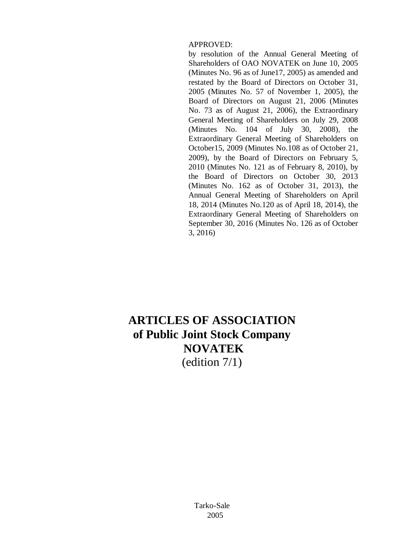## APPROVED:

by resolution of the Annual General Meeting of Shareholders of OAO NOVATEK on June 10, 2005 (Minutes No. 96 as of June17, 2005) as amended and restated by the Board of Directors on October 31, 2005 (Minutes No. 57 of November 1, 2005), the Board of Directors on August 21, 2006 (Minutes No. 73 as of August 21, 2006), the Extraordinary General Meeting of Shareholders on July 29, 2008 (Minutes No. 104 of July 30, 2008), the Extraordinary General Meeting of Shareholders on October15, 2009 (Minutes No.108 as of October 21, 2009), by the Board of Directors on February 5, 2010 (Minutes No. 121 as of February 8, 2010), by the Board of Directors on October 30, 2013 (Minutes No. 162 as of October 31, 2013), the Annual General Meeting of Shareholders on April 18, 2014 (Minutes No.120 as of April 18, 2014), the Extraordinary General Meeting of Shareholders on September 30, 2016 (Minutes No. 126 as of October 3, 2016)

# **ARTICLES OF ASSOCIATION of Public Joint Stock Company NOVATEK** (edition 7/1)

Tarko-Sale 2005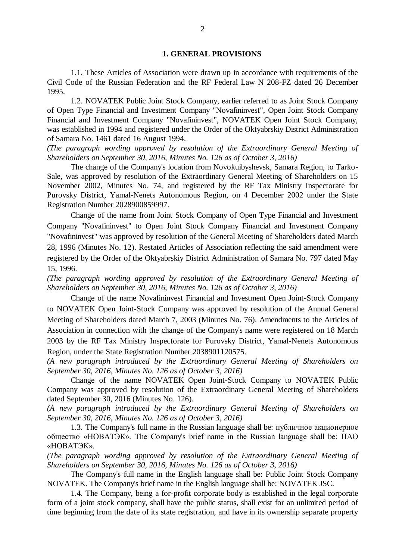#### **1. GENERAL PROVISIONS**

1.1. These Articles of Association were drawn up in accordance with requirements of the Civil Code of the Russian Federation and the RF Federal Law N 208-FZ dated 26 December 1995.

1.2. NOVATEK Public Joint Stock Company, earlier referred to as Joint Stock Company of Open Type Financial and Investment Company "Novafininvest", Open Joint Stock Company Financial and Investment Company "Novafininvest", NOVATEK Open Joint Stock Company, was established in 1994 and registered under the Order of the Oktyabrskiy District Administration of Samara No. 1461 dated 16 August 1994.

*(The paragraph wording approved by resolution of the Extraordinary General Meeting of Shareholders on September 30, 2016, Minutes No. 126 as of October 3, 2016)*

The change of the Company's location from Novokuibyshevsk, Samara Region, to Tarko-Sale, was approved by resolution of the Extraordinary General Meeting of Shareholders on 15 November 2002, Minutes No. 74, and registered by the RF Tax Ministry Inspectorate for Purovsky District, Yamal-Nenets Autonomous Region, on 4 December 2002 under the State Registration Number 2028900859997.

Change of the name from Joint Stock Company of Open Type Financial and Investment Company "Novafininvest" to Open Joint Stock Company Financial and Investment Company "Novafininvest" was approved by resolution of the General Meeting of Shareholders dated March 28, 1996 (Minutes No. 12). Restated Articles of Association reflecting the said amendment were registered by the Order of the Oktyabrskiy District Administration of Samara No. 797 dated May 15, 1996.

*(The paragraph wording approved by resolution of the Extraordinary General Meeting of Shareholders on September 30, 2016, Minutes No. 126 as of October 3, 2016)*

Change of the name Novafininvest Financial and Investment Open Joint-Stock Company to NOVATEK Open Joint-Stock Company was approved by resolution of the Annual General Meeting of Shareholders dated March 7, 2003 (Minutes No. 76). Amendments to the Articles of Association in connection with the change of the Company's name were registered on 18 March 2003 by the RF Tax Ministry Inspectorate for Purovsky District, Yamal-Nenets Autonomous Region, under the State Registration Number 2038901120575.

*(A new paragraph introduced by the Extraordinary General Meeting of Shareholders on September 30, 2016, Minutes No. 126 as of October 3, 2016)*

Change of the name NOVATEK Open Joint-Stock Company to NOVATEK Public Company was approved by resolution of the Extraordinary General Meeting of Shareholders dated September 30, 2016 (Minutes No. 126).

*(A new paragraph introduced by the Extraordinary General Meeting of Shareholders on September 30, 2016, Minutes No. 126 as of October 3, 2016)*

1.3. The Company's full name in the Russian language shall be: публичное акционерное общество «НОВАТЭК». The Company's brief name in the Russian language shall be: ПАО «НОВАТЭК».

*(The paragraph wording approved by resolution of the Extraordinary General Meeting of Shareholders on September 30, 2016, Minutes No. 126 as of October 3, 2016)*

The Company's full name in the English language shall be: Public Joint Stock Company NOVATEK. The Company's brief name in the English language shall be: NOVATEK JSC.

1.4. The Company, being a for-profit corporate body is established in the legal corporate form of a joint stock company, shall have the public status, shall exist for an unlimited period of time beginning from the date of its state registration, and have in its ownership separate property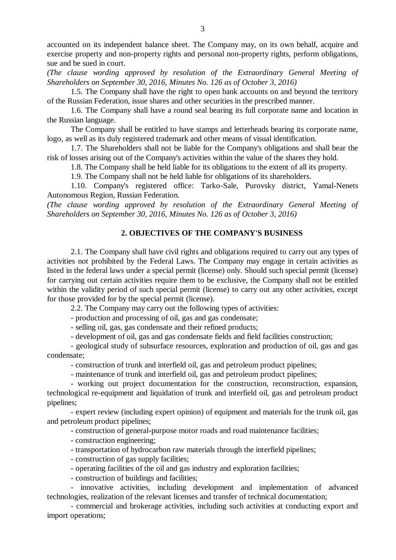accounted on its independent balance sheet. The Company may, on its own behalf, acquire and exercise property and non-property rights and personal non-property rights, perform obligations, sue and be sued in court.

*(The clause wording approved by resolution of the Extraordinary General Meeting of Shareholders on September 30, 2016, Minutes No. 126 as of October 3, 2016)*

1.5. The Company shall have the right to open bank accounts on and beyond the territory of the Russian Federation, issue shares and other securities in the prescribed manner.

1.6. The Company shall have a round seal bearing its full corporate name and location in the Russian language.

The Company shall be entitled to have stamps and letterheads bearing its corporate name, logo, as well as its duly registered trademark and other means of visual identification.

1.7. The Shareholders shall not be liable for the Company's obligations and shall bear the risk of losses arising out of the Company's activities within the value of the shares they hold.

1.8. The Company shall be held liable for its obligations to the extent of all its property.

1.9. The Company shall not be held liable for obligations of its shareholders.

1.10. Company's registered office: Tarko-Sale, Purovsky district, Yamal-Nenets Autonomous Region, Russian Federation.

*(The clause wording approved by resolution of the Extraordinary General Meeting of Shareholders on September 30, 2016, Minutes No. 126 as of October 3, 2016)*

# **2. OBJECTIVES OF THE COMPANY'S BUSINESS**

2.1. The Company shall have civil rights and obligations required to carry out any types of activities not prohibited by the Federal Laws. The Company may engage in certain activities as listed in the federal laws under a special permit (license) only. Should such special permit (license) for carrying out certain activities require them to be exclusive, the Company shall not be entitled within the validity period of such special permit (license) to carry out any other activities, except for those provided for by the special permit (license).

2.2. The Company may carry out the following types of activities:

- production and processing of oil, gas and gas condensate;

- selling oil, gas, gas condensate and their refined products;

- development of oil, gas and gas condensate fields and field facilities construction;

- geological study of subsurface resources, exploration and production of oil, gas and gas condensate;

- construction of trunk and interfield oil, gas and petroleum product pipelines;

- maintenance of trunk and interfield oil, gas and petroleum product pipelines;

- working out project documentation for the construction, reconstruction, expansion, technological re-equipment and liquidation of trunk and interfield oil, gas and petroleum product pipelines;

- expert review (including expert opinion) of equipment and materials for the trunk oil, gas and petroleum product pipelines;

- construction of general-purpose motor roads and road maintenance facilities;

- construction engineering;

- transportation of hydrocarbon raw materials through the interfield pipelines;
- construction of gas supply facilities;
- operating facilities of the oil and gas industry and exploration facilities;
- construction of buildings and facilities;

- innovative activities, including development and implementation of advanced technologies, realization of the relevant licenses and transfer of technical documentation;

- commercial and brokerage activities, including such activities at conducting export and import operations;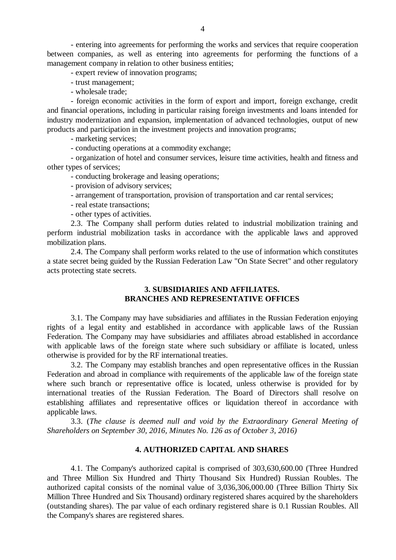- entering into agreements for performing the works and services that require cooperation between companies, as well as entering into agreements for performing the functions of a management company in relation to other business entities;

- expert review of innovation programs;

- trust management;

- wholesale trade;

- foreign economic activities in the form of export and import, foreign exchange, credit and financial operations, including in particular raising foreign investments and loans intended for industry modernization and expansion, implementation of advanced technologies, output of new products and participation in the investment projects and innovation programs;

- marketing services;

- conducting operations at a commodity exchange;

- organization of hotel and consumer services, leisure time activities, health and fitness and other types of services;

- conducting brokerage and leasing operations;

- provision of advisory services;
- arrangement of transportation, provision of transportation and car rental services;
- real estate transactions;

- other types of activities.

2.3. The Company shall perform duties related to industrial mobilization training and perform industrial mobilization tasks in accordance with the applicable laws and approved mobilization plans.

2.4. The Company shall perform works related to the use of information which constitutes a state secret being guided by the Russian Federation Law "On State Secret" and other regulatory acts protecting state secrets.

## **3. SUBSIDIARIES AND AFFILIATES. BRANCHES AND REPRESENTATIVE OFFICES**

3.1. The Company may have subsidiaries and affiliates in the Russian Federation enjoying rights of a legal entity and established in accordance with applicable laws of the Russian Federation. The Company may have subsidiaries and affiliates abroad established in accordance with applicable laws of the foreign state where such subsidiary or affiliate is located, unless otherwise is provided for by the RF international treaties.

3.2. The Company may establish branches and open representative offices in the Russian Federation and abroad in compliance with requirements of the applicable law of the foreign state where such branch or representative office is located, unless otherwise is provided for by international treaties of the Russian Federation. The Board of Directors shall resolve on establishing affiliates and representative offices or liquidation thereof in accordance with applicable laws.

3.3. (*The clause is deemed null and void by the Extraordinary General Meeting of Shareholders on September 30, 2016, Minutes No. 126 as of October 3, 2016)*

# **4. AUTHORIZED CAPITAL AND SHARES**

4.1. The Company's authorized capital is comprised of 303,630,600.00 (Three Hundred and Three Million Six Hundred and Thirty Thousand Six Hundred) Russian Roubles. The authorized capital consists of the nominal value of 3,036,306,000.00 (Three Billion Thirty Six Million Three Hundred and Six Thousand) ordinary registered shares acquired by the shareholders (outstanding shares). The par value of each ordinary registered share is 0.1 Russian Roubles. All the Company's shares are registered shares.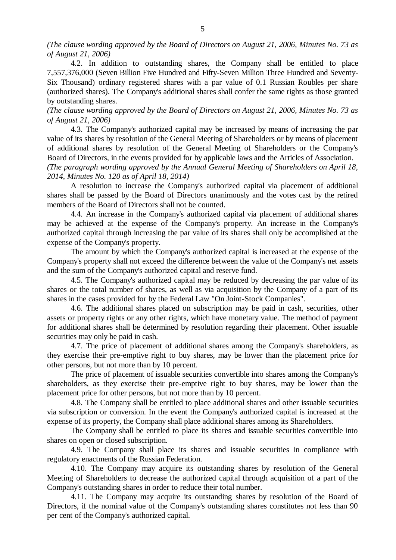*(The clause wording approved by the Board of Directors on August 21, 2006, Minutes No. 73 as of August 21, 2006)*

4.2. In addition to outstanding shares, the Company shall be entitled to place 7,557,376,000 (Seven Billion Five Hundred and Fifty-Seven Million Three Hundred and Seventy-Six Thousand) ordinary registered shares with a par value of 0.1 Russian Roubles per share (authorized shares). The Company's additional shares shall confer the same rights as those granted by outstanding shares.

*(The clause wording approved by the Board of Directors on August 21, 2006, Minutes No. 73 as of August 21, 2006)*

4.3. The Company's authorized capital may be increased by means of increasing the par value of its shares by resolution of the General Meeting of Shareholders or by means of placement of additional shares by resolution of the General Meeting of Shareholders or the Company's Board of Directors, in the events provided for by applicable laws and the Articles of Association.

*(The paragraph wording approved by the Annual General Meeting of Shareholders on April 18, 2014, Minutes No. 120 as of April 18, 2014)*

A resolution to increase the Company's authorized capital via placement of additional shares shall be passed by the Board of Directors unanimously and the votes cast by the retired members of the Board of Directors shall not be counted.

4.4. An increase in the Company's authorized capital via placement of additional shares may be achieved at the expense of the Company's property. An increase in the Company's authorized capital through increasing the par value of its shares shall only be accomplished at the expense of the Company's property.

The amount by which the Company's authorized capital is increased at the expense of the Company's property shall not exceed the difference between the value of the Company's net assets and the sum of the Company's authorized capital and reserve fund.

4.5. The Company's authorized capital may be reduced by decreasing the par value of its shares or the total number of shares, as well as via acquisition by the Company of a part of its shares in the cases provided for by the Federal Law "On Joint-Stock Companies".

4.6. The additional shares placed on subscription may be paid in cash, securities, other assets or property rights or any other rights, which have monetary value. The method of payment for additional shares shall be determined by resolution regarding their placement. Other issuable securities may only be paid in cash.

4.7. The price of placement of additional shares among the Company's shareholders, as they exercise their pre-emptive right to buy shares, may be lower than the placement price for other persons, but not more than by 10 percent.

The price of placement of issuable securities convertible into shares among the Company's shareholders, as they exercise their pre-emptive right to buy shares, may be lower than the placement price for other persons, but not more than by 10 percent.

4.8. The Company shall be entitled to place additional shares and other issuable securities via subscription or conversion. In the event the Company's authorized capital is increased at the expense of its property, the Company shall place additional shares among its Shareholders.

The Company shall be entitled to place its shares and issuable securities convertible into shares on open or closed subscription.

4.9. The Company shall place its shares and issuable securities in compliance with regulatory enactments of the Russian Federation.

4.10. The Company may acquire its outstanding shares by resolution of the General Meeting of Shareholders to decrease the authorized capital through acquisition of a part of the Company's outstanding shares in order to reduce their total number.

4.11. The Company may acquire its outstanding shares by resolution of the Board of Directors, if the nominal value of the Company's outstanding shares constitutes not less than 90 per cent of the Company's authorized capital.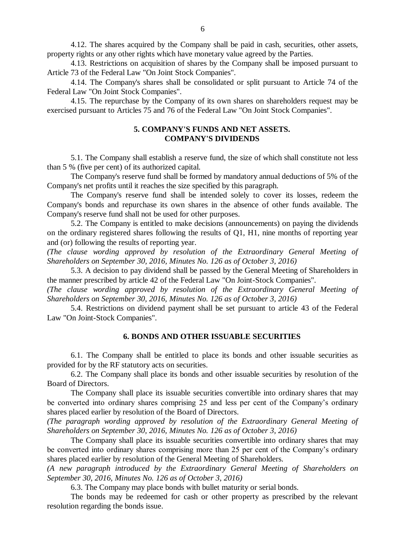4.12. The shares acquired by the Company shall be paid in cash, securities, other assets, property rights or any other rights which have monetary value agreed by the Parties.

4.13. Restrictions on acquisition of shares by the Company shall be imposed pursuant to Article 73 of the Federal Law "On Joint Stock Companies".

4.14. The Company's shares shall be consolidated or split pursuant to Article 74 of the Federal Law "On Joint Stock Companies".

4.15. The repurchase by the Company of its own shares on shareholders request may be exercised pursuant to Articles 75 and 76 of the Federal Law "On Joint Stock Companies".

# **5. COMPANY'S FUNDS AND NET ASSETS. COMPANY'S DIVIDENDS**

5.1. The Company shall establish a reserve fund, the size of which shall constitute not less than 5 % (five per cent) of its authorized capital.

The Company's reserve fund shall be formed by mandatory annual deductions of 5% of the Company's net profits until it reaches the size specified by this paragraph.

The Company's reserve fund shall be intended solely to cover its losses, redeem the Company's bonds and repurchase its own shares in the absence of other funds available. The Company's reserve fund shall not be used for other purposes.

5.2. The Company is entitled to make decisions (announcements) on paying the dividends on the ordinary registered shares following the results of Q1, H1, nine months of reporting year and (or) following the results of reporting year.

*(The clause wording approved by resolution of the Extraordinary General Meeting of Shareholders on September 30, 2016, Minutes No. 126 as of October 3, 2016)*

5.3. A decision to pay dividend shall be passed by the General Meeting of Shareholders in the manner prescribed by article 42 of the Federal Law "On Joint-Stock Companies".

*(The clause wording approved by resolution of the Extraordinary General Meeting of Shareholders on September 30, 2016, Minutes No. 126 as of October 3, 2016)*

5.4. Restrictions on dividend payment shall be set pursuant to article 43 of the Federal Law "On Joint-Stock Companies".

#### **6. BONDS AND OTHER ISSUABLE SECURITIES**

6.1. The Company shall be entitled to place its bonds and other issuable securities as provided for by the RF statutory acts on securities.

6.2. The Company shall place its bonds and other issuable securities by resolution of the Board of Directors.

The Company shall place its issuable securities convertible into ordinary shares that may be converted into ordinary shares comprising 25 and less per cent of the Company's ordinary shares placed earlier by resolution of the Board of Directors.

*(The paragraph wording approved by resolution of the Extraordinary General Meeting of Shareholders on September 30, 2016, Minutes No. 126 as of October 3, 2016)*

The Company shall place its issuable securities convertible into ordinary shares that may be converted into ordinary shares comprising more than 25 per cent of the Company's ordinary shares placed earlier by resolution of the General Meeting of Shareholders.

*(A new paragraph introduced by the Extraordinary General Meeting of Shareholders on September 30, 2016, Minutes No. 126 as of October 3, 2016)*

6.3. The Company may place bonds with bullet maturity or serial bonds.

The bonds may be redeemed for cash or other property as prescribed by the relevant resolution regarding the bonds issue.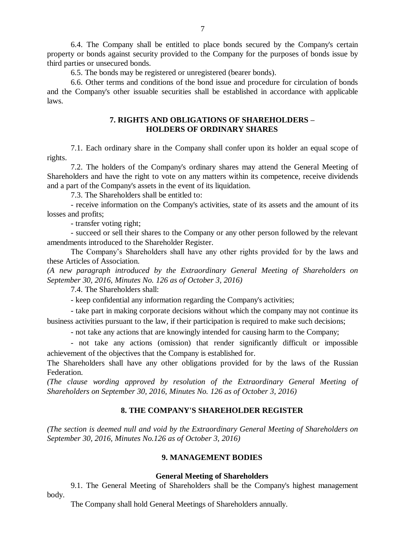6.4. The Company shall be entitled to place bonds secured by the Company's certain property or bonds against security provided to the Company for the purposes of bonds issue by third parties or unsecured bonds.

6.5. The bonds may be registered or unregistered (bearer bonds).

6.6. Other terms and conditions of the bond issue and procedure for circulation of bonds and the Company's other issuable securities shall be established in accordance with applicable laws.

# **7. RIGHTS AND OBLIGATIONS OF SHAREHOLDERS – HOLDERS OF ORDINARY SHARES**

7.1. Each ordinary share in the Company shall confer upon its holder an equal scope of rights.

7.2. The holders of the Company's ordinary shares may attend the General Meeting of Shareholders and have the right to vote on any matters within its competence, receive dividends and a part of the Company's assets in the event of its liquidation.

7.3. The Shareholders shall be entitled to:

- receive information on the Company's activities, state of its assets and the amount of its losses and profits;

- transfer voting right;

- succeed or sell their shares to the Company or any other person followed by the relevant amendments introduced to the Shareholder Register.

The Company's Shareholders shall have any other rights provided for by the laws and these Articles of Association.

*(A new paragraph introduced by the Extraordinary General Meeting of Shareholders on September 30, 2016, Minutes No. 126 as of October 3, 2016)*

7.4. The Shareholders shall:

- keep confidential any information regarding the Company's activities;

- take part in making corporate decisions without which the company may not continue its business activities pursuant to the law, if their participation is required to make such decisions;

- not take any actions that are knowingly intended for causing harm to the Company;

- not take any actions (omission) that render significantly difficult or impossible achievement of the objectives that the Company is established for.

The Shareholders shall have any other obligations provided for by the laws of the Russian Federation.

*(The clause wording approved by resolution of the Extraordinary General Meeting of Shareholders on September 30, 2016, Minutes No. 126 as of October 3, 2016)*

## **8. THE COMPANY'S SHAREHOLDER REGISTER**

*(The section is deemed null and void by the Extraordinary General Meeting of Shareholders on September 30, 2016, Minutes No.126 as of October 3, 2016)*

## **9. MANAGEMENT BODIES**

#### **General Meeting of Shareholders**

9.1. The General Meeting of Shareholders shall be the Company's highest management body.

The Company shall hold General Meetings of Shareholders annually.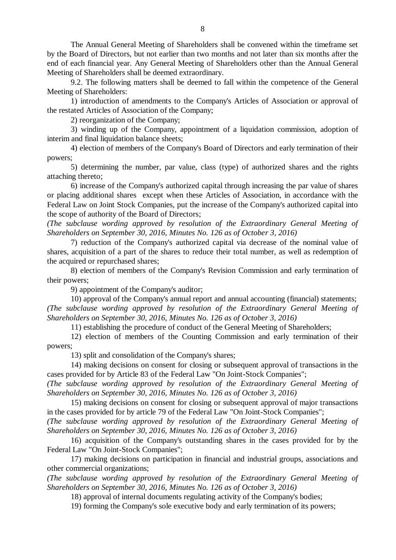The Annual General Meeting of Shareholders shall be convened within the timeframe set by the Board of Directors, but not earlier than two months and not later than six months after the end of each financial year. Any General Meeting of Shareholders other than the Annual General Meeting of Shareholders shall be deemed extraordinary.

9.2. The following matters shall be deemed to fall within the competence of the General Meeting of Shareholders:

1) introduction of amendments to the Company's Articles of Association or approval of the restated Articles of Association of the Company;

2) reorganization of the Company;

3) winding up of the Company, appointment of a liquidation commission, adoption of interim and final liquidation balance sheets;

4) election of members of the Company's Board of Directors and early termination of their powers;

5) determining the number, par value, class (type) of authorized shares and the rights attaching thereto;

6) increase of the Company's authorized capital through increasing the par value of shares or placing additional shares except when these Articles of Association, in accordance with the Federal Law on Joint Stock Companies, put the increase of the Company's authorized capital into the scope of authority of the Board of Directors;

*(The subclause wording approved by resolution of the Extraordinary General Meeting of Shareholders on September 30, 2016, Minutes No. 126 as of October 3, 2016)*

7) reduction of the Company's authorized capital via decrease of the nominal value of shares, acquisition of a part of the shares to reduce their total number, as well as redemption of the acquired or repurchased shares;

8) election of members of the Company's Revision Commission and early termination of their powers;

9) appointment of the Company's auditor;

10) approval of the Company's annual report and annual accounting (financial) statements; *(The subclause wording approved by resolution of the Extraordinary General Meeting of Shareholders on September 30, 2016, Minutes No. 126 as of October 3, 2016)*

11) establishing the procedure of conduct of the General Meeting of Shareholders;

12) election of members of the Counting Commission and early termination of their powers;

13) split and consolidation of the Company's shares;

14) making decisions on consent for closing or subsequent approval of transactions in the cases provided for by Article 83 of the Federal Law "On Joint-Stock Companies";

*(The subclause wording approved by resolution of the Extraordinary General Meeting of Shareholders on September 30, 2016, Minutes No. 126 as of October 3, 2016)*

15) making decisions on consent for closing or subsequent approval of major transactions in the cases provided for by article 79 of the Federal Law "On Joint-Stock Companies";

*(The subclause wording approved by resolution of the Extraordinary General Meeting of Shareholders on September 30, 2016, Minutes No. 126 as of October 3, 2016)*

16) acquisition of the Company's outstanding shares in the cases provided for by the Federal Law "On Joint-Stock Companies";

17) making decisions on participation in financial and industrial groups, associations and other commercial organizations;

*(The subclause wording approved by resolution of the Extraordinary General Meeting of Shareholders on September 30, 2016, Minutes No. 126 as of October 3, 2016)*

18) approval of internal documents regulating activity of the Company's bodies;

19) forming the Company's sole executive body and early termination of its powers;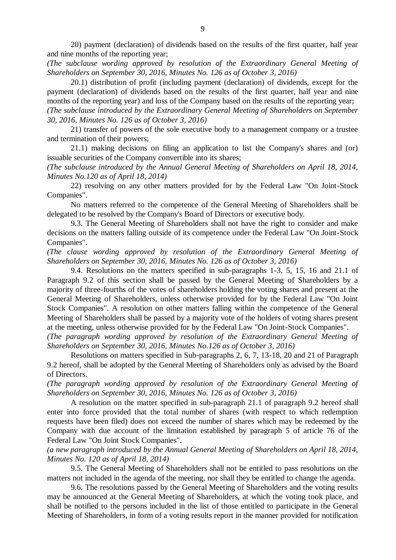20) payment (declaration) of dividends based on the results of the first quarter, half year and nine months of the reporting year;

*(The subclause wording approved by resolution of the Extraordinary General Meeting of Shareholders on September 30, 2016, Minutes No. 126 as of October 3, 2016)*

20.1) distribution of profit (including payment (declaration) of dividends, except for the payment (declaration) of dividends based on the results of the first quarter, half year and nine months of the reporting year) and loss of the Company based on the results of the reporting year; *(The subclause introduced by the Extraordinary General Meeting of Shareholders on September 30, 2016, Minutes No. 126 as of October 3, 2016)*

21) transfer of powers of the sole executive body to a management company or a trustee and termination of their powers;

21.1) making decisions on filing an application to list the Company's shares and (or) issuable securities of the Company convertible into its shares;

*(The subclause introduced by the Annual General Meeting of Shareholders on April 18, 2014, Minutes No.120 as of April 18, 2014)*

22) resolving on any other matters provided for by the Federal Law "On Joint-Stock Companies".

No matters referred to the competence of the General Meeting of Shareholders shall be delegated to be resolved by the Company's Board of Directors or executive body.

9.3. The General Meeting of Shareholders shall not have the right to consider and make decisions on the matters falling outside of its competence under the Federal Law "On Joint-Stock Companies".

*(The clause wording approved by resolution of the Extraordinary General Meeting of Shareholders on September 30, 2016, Minutes No. 126 as of October 3, 2016)*

9.4. Resolutions on the matters specified in sub-paragraphs 1-3, 5, 15, 16 and 21.1 of Paragraph 9.2 of this section shall be passed by the General Meeting of Shareholders by a majority of three-fourths of the votes of shareholders holding the voting shares and present at the General Meeting of Shareholders, unless otherwise provided for by the Federal Law "On Joint Stock Companies". A resolution on other matters falling within the competence of the General Meeting of Shareholders shall be passed by a majority vote of the holders of voting shares present at the meeting, unless otherwise provided for by the Federal Law "On Joint-Stock Companies".

*(The paragraph wording approved by resolution of the Extraordinary General Meeting of Shareholders on September 30, 2016, Minutes No.126 as of October 3, 2016)*

Resolutions on matters specified in Sub-paragraphs 2, 6, 7, 13-18, 20 and 21 of Paragraph 9.2 hereof, shall be adopted by the General Meeting of Shareholders only as advised by the Board of Directors.

*(The paragraph wording approved by resolution of the Extraordinary General Meeting of Shareholders on September 30, 2016, Minutes No. 126 as of October 3, 2016)*

A resolution on the matter specified in [sub-paragraph 21.1 of paragraph 9.2](consultantplus://offline/ref=4461179F46314E924976B81F9009020B6A43D9588906286A902F0C5E0FD8D9E6EA2953AEA7B7C176eDtAH) hereof shall enter into force provided that the total number of shares (with respect to which redemption requests have been filed) does not exceed the number of shares which may be redeemed by the Company with due account of the limitation established by [paragraph 5 of article 76 o](consultantplus://offline/ref=4461179F46314E924976B81F9009020B6A43D9588906286A902F0C5E0FD8D9E6EA2953AEA7B6C678eDt4H)f the Federal Law "On Joint Stock Companies".

*(a new paragraph introduced by the Annual General Meeting of Shareholders on April 18, 2014, Minutes No. 120 as of April 18, 2014)*

9.5. The General Meeting of Shareholders shall not be entitled to pass resolutions on the matters not included in the agenda of the meeting, nor shall they be entitled to change the agenda.

9.6. The resolutions passed by the General Meeting of Shareholders and the voting results may be announced at the General Meeting of Shareholders, at which the voting took place, and shall be notified to the persons included in the list of those entitled to participate in the General Meeting of Shareholders, in form of a voting results report in the manner provided for notification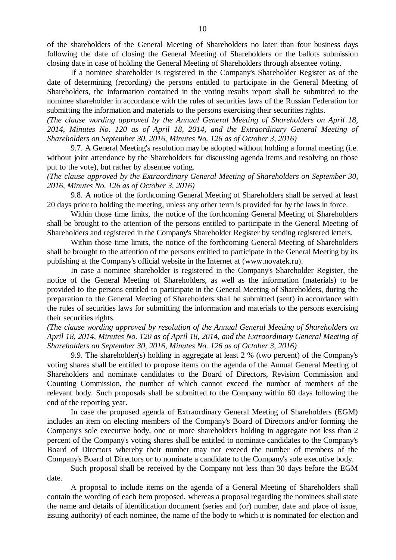of the shareholders of the General Meeting of Shareholders no later than four business days following the date of closing the General Meeting of Shareholders or the ballots submission closing date in case of holding the General Meeting of Shareholders through absentee voting.

If a nominee shareholder is registered in the Company's Shareholder Register as of the date of determining (recording) the persons entitled to participate in the General Meeting of Shareholders, the information contained in the voting results report shall be submitted to the nominee shareholder in accordance with the rules of securities laws of the Russian Federation for submitting the information and materials to the persons exercising their securities rights.

*(The clause wording approved by the Annual General Meeting of Shareholders on April 18, 2014, Minutes No. 120 as of April 18, 2014, and the Extraordinary General Meeting of Shareholders on September 30, 2016, Minutes No. 126 as of October 3, 2016)*

9.7. A General Meeting's resolution may be adopted without holding a formal meeting (i.e. without joint attendance by the Shareholders for discussing agenda items and resolving on those put to the vote), but rather by absentee voting.

*(The clause approved by the Extraordinary General Meeting of Shareholders on September 30, 2016, Minutes No. 126 as of October 3, 2016)*

9.8. A notice of the forthcoming General Meeting of Shareholders shall be served at least 20 days prior to holding the meeting, unless any other term is provided for by the laws in force.

Within those time limits, the notice of the forthcoming General Meeting of Shareholders shall be brought to the attention of the persons entitled to participate in the General Meeting of Shareholders and registered in the Company's Shareholder Register by sending registered letters.

Within those time limits, the notice of the forthcoming General Meeting of Shareholders shall be brought to the attention of the persons entitled to participate in the General Meeting by its publishing at the Company's official website in the Internet at [\(www.novatek.ru\)](http://www.novatek.ru/).

In case a nominee shareholder is registered in the Company's Shareholder Register, the notice of the General Meeting of Shareholders, as well as the information (materials) to be provided to the persons entitled to participate in the General Meeting of Shareholders, during the preparation to the General Meeting of Shareholders shall be submitted (sent) in accordance with the rules of securities laws for submitting the information and materials to the persons exercising their securities rights.

*(The clause wording approved by resolution of the Annual General Meeting of Shareholders on April 18, 2014, Minutes No. 120 as of April 18, 2014, and the Extraordinary General Meeting of Shareholders on September 30, 2016, Minutes No. 126 as of October 3, 2016)*

9.9. The shareholder(s) holding in aggregate at least 2 % (two percent) of the Company's voting shares shall be entitled to propose items on the agenda of the Annual General Meeting of Shareholders and nominate candidates to the Board of Directors, Revision Commission and Counting Commission, the number of which cannot exceed the number of members of the relevant body. Such proposals shall be submitted to the Company within 60 days following the end of the reporting year.

In case the proposed agenda of Extraordinary General Meeting of Shareholders (EGM) includes an item on electing members of the Company's Board of Directors and/or forming the Company's sole executive body, one or more shareholders holding in aggregate not less than 2 percent of the Company's voting shares shall be entitled to nominate candidates to the Company's Board of Directors whereby their number may not exceed the number of members of the Company's Board of Directors or to nominate a candidate to the Company's sole executive body.

Such proposal shall be received by the Company not less than 30 days before the EGM date.

A proposal to include items on the agenda of a General Meeting of Shareholders shall contain the wording of each item proposed, whereas a proposal regarding the nominees shall state the name and details of identification document (series and (or) number, date and place of issue, issuing authority) of each nominee, the name of the body to which it is nominated for election and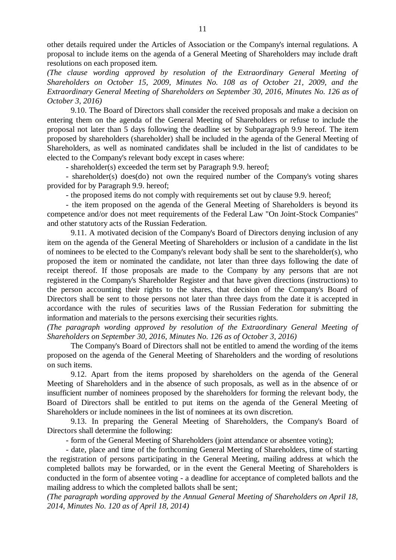other details required under the Articles of Association or the Company's internal regulations. A proposal to include items on the agenda of a General Meeting of Shareholders may include draft resolutions on each proposed item.

*(The clause wording approved by resolution of the Extraordinary General Meeting of Shareholders on October 15, 2009, Minutes No. 108 as of October 21, 2009, and the Extraordinary General Meeting of Shareholders on September 30, 2016, Minutes No. 126 as of October 3, 2016)*

9.10. The Board of Directors shall consider the received proposals and make a decision on entering them on the agenda of the General Meeting of Shareholders or refuse to include the proposal not later than 5 days following the deadline set by Subparagraph 9.9 hereof. The item proposed by shareholders (shareholder) shall be included in the agenda of the General Meeting of Shareholders, as well as nominated candidates shall be included in the list of candidates to be elected to the Company's relevant body except in cases where:

- shareholder(s) exceeded the term set by Paragraph 9.9. hereof;

- shareholder(s) does(do) not own the required number of the Company's voting shares provided for by Paragraph 9.9. hereof;

- the proposed items do not comply with requirements set out by clause 9.9. hereof;

- the item proposed on the agenda of the General Meeting of Shareholders is beyond its competence and/or does not meet requirements of the Federal Law "On Joint-Stock Companies" and other statutory acts of the Russian Federation.

9.11. A motivated decision of the Company's Board of Directors denying inclusion of any item on the agenda of the General Meeting of Shareholders or inclusion of a candidate in the list of nominees to be elected to the Company's relevant body shall be sent to the shareholder(s), who proposed the item or nominated the candidate, not later than three days following the date of receipt thereof. If those proposals are made to the Company by any persons that are not registered in the Company's Shareholder Register and that have given directions (instructions) to the person accounting their rights to the shares, that decision of the Company's Board of Directors shall be sent to those persons not later than three days from the date it is accepted in accordance with the rules of securities laws of the Russian Federation for submitting the information and materials to the persons exercising their securities rights.

*(The paragraph wording approved by resolution of the Extraordinary General Meeting of Shareholders on September 30, 2016, Minutes No. 126 as of October 3, 2016)*

The Company's Board of Directors shall not be entitled to amend the wording of the items proposed on the agenda of the General Meeting of Shareholders and the wording of resolutions on such items.

9.12. Apart from the items proposed by shareholders on the agenda of the General Meeting of Shareholders and in the absence of such proposals, as well as in the absence of or insufficient number of nominees proposed by the shareholders for forming the relevant body, the Board of Directors shall be entitled to put items on the agenda of the General Meeting of Shareholders or include nominees in the list of nominees at its own discretion.

9.13. In preparing the General Meeting of Shareholders, the Company's Board of Directors shall determine the following:

- form of the General Meeting of Shareholders (joint attendance or absentee voting);

- date, place and time of the forthcoming General Meeting of Shareholders, time of starting the registration of persons participating in the General Meeting, mailing address at which the completed ballots may be forwarded, or in the event the General Meeting of Shareholders is conducted in the form of absentee voting - a deadline for acceptance of completed ballots and the mailing address to which the completed ballots shall be sent;

*(The paragraph wording approved by the Annual General Meeting of Shareholders on April 18, 2014, Minutes No. 120 as of April 18, 2014)*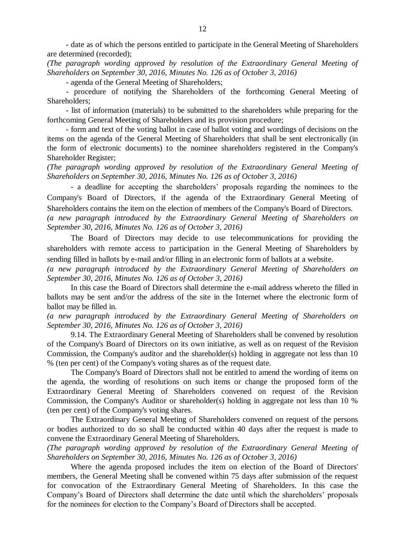- date as of which the persons entitled to participate in the General Meeting of Shareholders are determined (recorded);

*(The paragraph wording approved by resolution of the Extraordinary General Meeting of Shareholders on September 30, 2016, Minutes No. 126 as of October 3, 2016)*

- agenda of the General Meeting of Shareholders;

- procedure of notifying the Shareholders of the forthcoming General Meeting of Shareholders;

- list of information (materials) to be submitted to the shareholders while preparing for the forthcoming General Meeting of Shareholders and its provision procedure;

- form and text of the voting ballot in case of ballot voting and wordings of decisions on the items on the agenda of the General Meeting of Shareholders that shall be sent electronically (in the form of electronic documents) to the nominee shareholders registered in the Company's Shareholder Register;

*(The paragraph wording approved by resolution of the Extraordinary General Meeting of Shareholders on September 30, 2016, Minutes No. 126 as of October 3, 2016)*

- a deadline for accepting the shareholders' proposals regarding the nominees to the Company's Board of Directors, if the agenda of the Extraordinary General Meeting of Shareholders contains the item on the election of members of the Company's Board of Directors.

*(a new paragraph introduced by the Extraordinary General Meeting of Shareholders on September 30, 2016, Minutes No. 126 as of October 3, 2016)*

The Board of Directors may decide to use telecommunications for providing the shareholders with remote access to participation in the General Meeting of Shareholders by sending filled in ballots by e-mail and/or filling in an electronic form of ballots at a website.

*(a new paragraph introduced by the Extraordinary General Meeting of Shareholders on September 30, 2016, Minutes No. 126 as of October 3, 2016)*

In this case the Board of Directors shall determine the e-mail address whereto the filled in ballots may be sent and/or the address of the site in the Internet where the electronic form of ballot may be filled in.

*(a new paragraph introduced by the Extraordinary General Meeting of Shareholders on September 30, 2016, Minutes No. 126 as of October 3, 2016)*

9.14. The Extraordinary General Meeting of Shareholders shall be convened by resolution of the Company's Board of Directors on its own initiative, as well as on request of the Revision Commission, the Company's auditor and the shareholder(s) holding in aggregate not less than 10 % (ten per cent) of the Company's voting shares as of the request date.

The Company's Board of Directors shall not be entitled to amend the wording of items on the agenda, the wording of resolutions on such items or change the proposed form of the Extraordinary General Meeting of Shareholders convened on request of the Revision Commission, the Company's Auditor or shareholder(s) holding in aggregate not less than 10 % (ten per cent) of the Company's voting shares.

The Extraordinary General Meeting of Shareholders convened on request of the persons or bodies authorized to do so shall be conducted within 40 days after the request is made to convene the Extraordinary General Meeting of Shareholders.

*(The paragraph wording approved by resolution of the Extraordinary General Meeting of Shareholders on September 30, 2016, Minutes No. 126 as of October 3, 2016)*

Where the agenda proposed includes the item on election of the Board of Directors' members, the General Meeting shall be convened within 75 days after submission of the request for convocation of the Extraordinary General Meeting of Shareholders. In this case the Company's Board of Directors shall determine the date until which the shareholders' proposals for the nominees for election to the Company's Board of Directors shall be accepted.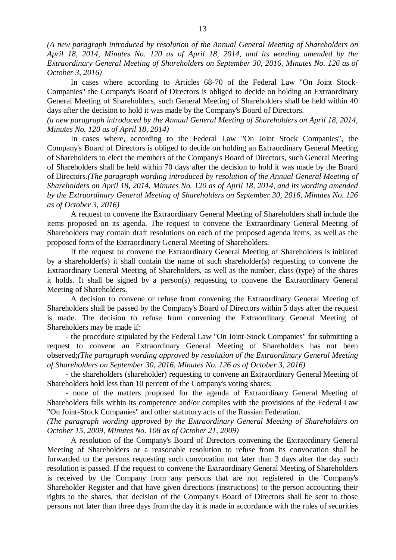*(A new paragraph introduced by resolution of the Annual General Meeting of Shareholders on April 18, 2014, Minutes No. 120 as of April 18, 2014, and its wording amended by the Extraordinary General Meeting of Shareholders on September 30, 2016, Minutes No. 126 as of October 3, 2016)*

In cases where according to [Articles 68-](consultantplus://offline/ref=96DC83258B09A641079416F3DA8D6B642C2279B41C33764838606AE44474051FBDE6851C568C88B4cA11F)[70](consultantplus://offline/ref=96DC83258B09A641079416F3DA8D6B642C2279B41C33764838606AE44474051FBDE6851C568C8BBFcA17F) of the Federal Law "On Joint Stock-Companies" the Company's Board of Directors is obliged to decide on holding an Extraordinary General Meeting of Shareholders, such General Meeting of Shareholders shall be held within 40 days after the decision to hold it was made by the Company's Board of Directors.

*(a new paragraph introduced by the Annual General Meeting of Shareholders on April 18, 2014, Minutes No. 120 as of April 18, 2014)*

In cases where, according to the Federal [Law](consultantplus://offline/ref=650144EFB34E53FF2CFB952AE33E99F0845A2BE581E792A6E4BE6D254921FAF927433E152D923FA1X5zDF) "On Joint Stock Companies", the Company's Board of Directors is obliged to decide on holding an Extraordinary General Meeting of Shareholders to elect the members of the Company's Board of Directors, such General Meeting of Shareholders shall be held within 70 days after the decision to hold it was made by the Board of Directors.*(The paragraph wording introduced by resolution of the Annual General Meeting of Shareholders on April 18, 2014, Minutes No. 120 as of April 18, 2014, and its wording amended by the Extraordinary General Meeting of Shareholders on September 30, 2016, Minutes No. 126 as of October 3, 2016)*

A request to convene the Extraordinary General Meeting of Shareholders shall include the items proposed on its agenda. The request to convene the Extraordinary General Meeting of Shareholders may contain draft resolutions on each of the proposed agenda items, as well as the proposed form of the Extraordinary General Meeting of Shareholders.

If the request to convene the Extraordinary General Meeting of Shareholders is initiated by a shareholder(s) it shall contain the name of such shareholder(s) requesting to convene the Extraordinary General Meeting of Shareholders, as well as the number, class (type) of the shares it holds. It shall be signed by a person(s) requesting to convene the Extraordinary General Meeting of Shareholders.

A decision to convene or refuse from convening the Extraordinary General Meeting of Shareholders shall be passed by the Company's Board of Directors within 5 days after the request is made. The decision to refuse from convening the Extraordinary General Meeting of Shareholders may be made if:

- the procedure stipulated by the Federal Law "On Joint-Stock Companies" for submitting a request to convene an Extraordinary General Meeting of Shareholders has not been observed;*(The paragraph wording approved by resolution of the Extraordinary General Meeting of Shareholders on September 30, 2016, Minutes No. 126 as of October 3, 2016)*

- the shareholders (shareholder) requesting to convene an Extraordinary General Meeting of Shareholders hold less than 10 percent of the Company's voting shares;

- none of the matters proposed for the agenda of Extraordinary General Meeting of Shareholders falls within its competence and/or complies with the provisions of the Federal Law "On Joint-Stock Companies" and other statutory acts of the Russian Federation.

*(The paragraph wording approved by the Extraordinary General Meeting of Shareholders on October 15, 2009, Minutes No. 108 as of October 21, 2009)*

A resolution of the Company's Board of Directors convening the Extraordinary General Meeting of Shareholders or a reasonable resolution to refuse from its convocation shall be forwarded to the persons requesting such convocation not later than 3 days after the day such resolution is passed. If the request to convene the Extraordinary General Meeting of Shareholders is received by the Company from any persons that are not registered in the Company's Shareholder Register and that have given directions (instructions) to the person accounting their rights to the shares, that decision of the Company's Board of Directors shall be sent to those persons not later than three days from the day it is made in accordance with the rules of securities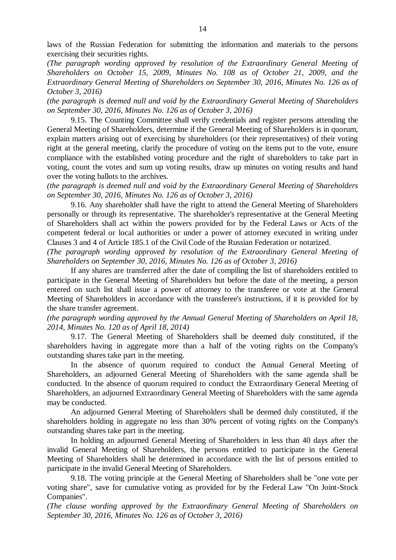laws of the Russian Federation for submitting the information and materials to the persons exercising their securities rights.

*(The paragraph wording approved by resolution of the Extraordinary General Meeting of Shareholders on October 15, 2009, Minutes No. 108 as of October 21, 2009, and the Extraordinary General Meeting of Shareholders on September 30, 2016, Minutes No. 126 as of October 3, 2016)*

*(the paragraph is deemed null and void by the Extraordinary General Meeting of Shareholders on September 30, 2016, Minutes No. 126 as of October 3, 2016)*

9.15. The Counting Committee shall verify credentials and register persons attending the General Meeting of Shareholders, determine if the General Meeting of Shareholders is in quorum, explain matters arising out of exercising by shareholders (or their representatives) of their voting right at the general meeting, clarify the procedure of voting on the items put to the vote, ensure compliance with the established voting procedure and the right of shareholders to take part in voting, count the votes and sum up voting results, draw up minutes on voting results and hand over the voting ballots to the archives.

*(the paragraph is deemed null and void by the Extraordinary General Meeting of Shareholders on September 30, 2016, Minutes No. 126 as of October 3, 2016)*

9.16. Any shareholder shall have the right to attend the General Meeting of Shareholders personally or through its representative. The shareholder's representative at the General Meeting of Shareholders shall act within the powers provided for by the Federal Laws or Acts of the competent federal or local authorities or under a power of attorney executed in writing under Clauses 3 and 4 of Article 185.1 of the Civil Code of the Russian Federation or notarized.

*(The paragraph wording approved by resolution of the Extraordinary General Meeting of Shareholders on September 30, 2016, Minutes No. 126 as of October 3, 2016)*

If any shares are transferred after the date of compiling the list of shareholders entitled to participate in the General Meeting of Shareholders but before the date of the meeting, a person entered on such list shall issue a power of attorney to the transferee or vote at the General Meeting of Shareholders in accordance with the transferee's instructions, if it is provided for by the share transfer agreement.

*(the paragraph wording approved by the Annual General Meeting of Shareholders on April 18, 2014, Minutes No. 120 as of April 18, 2014)*

9.17. The General Meeting of Shareholders shall be deemed duly constituted, if the shareholders having in aggregate more than a half of the voting rights on the Company's outstanding shares take part in the meeting.

In the absence of quorum required to conduct the Annual General Meeting of Shareholders, an adjourned General Meeting of Shareholders with the same agenda shall be conducted. In the absence of quorum required to conduct the Extraordinary General Meeting of Shareholders, an adjourned Extraordinary General Meeting of Shareholders with the same agenda may be conducted.

An adjourned General Meeting of Shareholders shall be deemed duly constituted, if the shareholders holding in aggregate no less than 30% percent of voting rights on the Company's outstanding shares take part in the meeting.

In holding an adjourned General Meeting of Shareholders in less than 40 days after the invalid General Meeting of Shareholders, the persons entitled to participate in the General Meeting of Shareholders shall be determined in accordance with the list of persons entitled to participate in the invalid General Meeting of Shareholders.

9.18. The voting principle at the General Meeting of Shareholders shall be "one vote per voting share", save for cumulative voting as provided for by the Federal Law "On Joint-Stock Companies".

*(The clause wording approved by the Extraordinary General Meeting of Shareholders on September 30, 2016, Minutes No. 126 as of October 3, 2016)*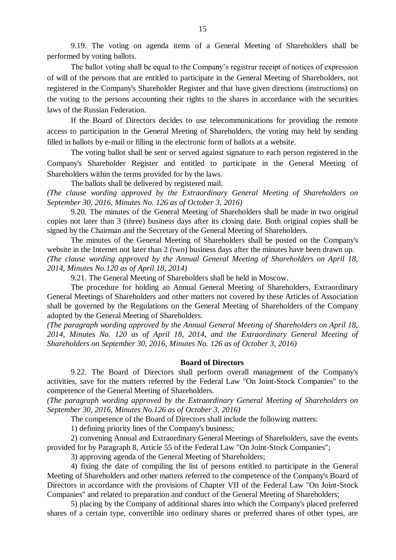9.19. The voting on agenda items of a General Meeting of Shareholders shall be performed by voting ballots.

The ballot voting shall be equal to the Company's registrar receipt of notices of expression of will of the persons that are entitled to participate in the General Meeting of Shareholders, not registered in the Company's Shareholder Register and that have given directions (instructions) on the voting to the persons accounting their rights to the shares in accordance with the securities laws of the Russian Federation.

If the Board of Directors decides to use telecommunications for providing the remote access to participation in the General Meeting of Shareholders, the voting may held by sending filled in ballots by e-mail or filling in the electronic form of ballots at a website.

The voting ballot shall be sent or served against signature to each person registered in the Company's Shareholder Register and entitled to participate in the General Meeting of Shareholders within the terms provided for by the laws.

The ballots shall be delivered by registered mail.

*(The clause wording approved by the Extraordinary General Meeting of Shareholders on September 30, 2016, Minutes No. 126 as of October 3, 2016)*

9.20. The minutes of the General Meeting of Shareholders shall be made in two original copies not later than 3 (three) business days after its closing date. Both original copies shall be signed by the Chairman and the Secretary of the General Meeting of Shareholders.

The minutes of the General Meeting of Shareholders shall be posted on the Company's website in the Internet not later than 2 (two) business days after the minutes have been drawn up. *(The clause wording approved by the Annual General Meeting of Shareholders on April 18, 2014, Minutes No.120 as of April 18, 2014)*

9.21. The General Meeting of Shareholders shall be held in Moscow.

The procedure for holding an Annual General Meeting of Shareholders, Extraordinary General Meetings of Shareholders and other matters not covered by these Articles of Association shall be governed by the Regulations on the General Meeting of Shareholders of the Company adopted by the General Meeting of Shareholders.

*(The paragraph wording approved by the Annual General Meeting of Shareholders on April 18, 2014, Minutes No. 120 as of April 18, 2014, and the Extraordinary General Meeting of Shareholders on September 30, 2016, Minutes No. 126 as of October 3, 2016)*

## **Board of Directors**

9.22. The Board of Directors shall perform overall management of the Company's activities, save for the matters referred by the Federal Law "On Joint-Stock Companies" to the competence of the General Meeting of Shareholders.

*(The paragraph wording approved by the Extraordinary General Meeting of Shareholders on September 30, 2016, Minutes No.126 as of October 3, 2016)*

The competence of the Board of Directors shall include the following matters:

1) defining priority lines of the Company's business;

2) convening Annual and Extraordinary General Meetings of Shareholders, save the events provided for by Paragraph 8, Article 55 of the Federal Law "On Joint-Stock Companies";

3) approving agenda of the General Meeting of Shareholders;

4) fixing the date of compiling the list of persons entitled to participate in the General Meeting of Shareholders and other matters referred to the competence of the Company's Board of Directors in accordance with the provisions of Chapter VII of the Federal Law "On Joint-Stock Companies" and related to preparation and conduct of the General Meeting of Shareholders;

5) placing by the Company of additional shares into which the Company's placed preferred shares of a certain type, convertible into ordinary shares or preferred shares of other types, are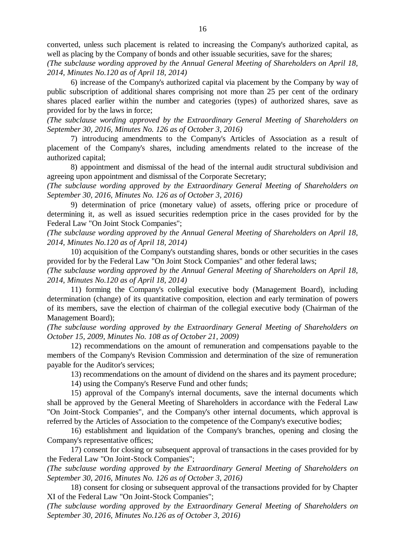converted, unless such placement is related to increasing the Company's authorized capital, as well as placing by the Company of bonds and other issuable securities, save for the shares;

*(The subclause wording approved by the Annual General Meeting of Shareholders on April 18, 2014, Minutes No.120 as of April 18, 2014)*

6) increase of the Company's authorized capital via placement by the Company by way of public subscription of additional shares comprising not more than 25 per cent of the ordinary shares placed earlier within the number and categories (types) of authorized shares, save as provided for by the laws in force;

*(The subclause wording approved by the Extraordinary General Meeting of Shareholders on September 30, 2016, Minutes No. 126 as of October 3, 2016)*

7) introducing amendments to the Company's Articles of Association as a result of placement of the Company's shares, including amendments related to the increase of the authorized capital;

8) appointment and dismissal of the head of the internal audit structural subdivision and agreeing upon appointment and dismissal of the Corporate Secretary;

*(The subclause wording approved by the Extraordinary General Meeting of Shareholders on September 30, 2016, Minutes No. 126 as of October 3, 2016)*

9) determination of price (monetary value) of assets, offering price or procedure of determining it, as well as issued securities redemption price in the cases provided for by the Federal Law "On Joint Stock Companies";

*(The subclause wording approved by the Annual General Meeting of Shareholders on April 18, 2014, Minutes No.120 as of April 18, 2014)*

10) acquisition of the Company's outstanding shares, bonds or other securities in the cases provided for by the Federal Law "On Joint Stock Companies" and other federal laws;

*(The subclause wording approved by the Annual General Meeting of Shareholders on April 18, 2014, Minutes No.120 as of April 18, 2014)*

11) forming the Company's collegial executive body (Management Board), including determination (change) of its quantitative composition, election and early termination of powers of its members, save the election of chairman of the collegial executive body (Chairman of the Management Board);

*(The subclause wording approved by the Extraordinary General Meeting of Shareholders on October 15, 2009, Minutes No. 108 as of October 21, 2009)*

12) recommendations on the amount of remuneration and compensations payable to the members of the Company's Revision Commission and determination of the size of remuneration payable for the Auditor's services;

13) recommendations on the amount of dividend on the shares and its payment procedure;

14) using the Company's Reserve Fund and other funds;

15) approval of the Company's internal documents, save the internal documents which shall be approved by the General Meeting of Shareholders in accordance with the Federal Law "On Joint-Stock Companies", and the Company's other internal documents, which approval is referred by the Articles of Association to the competence of the Company's executive bodies;

16) establishment and liquidation of the Company's branches, opening and closing the Company's representative offices;

17) consent for closing or subsequent approval of transactions in the cases provided for by the Federal Law "On Joint-Stock Companies";

*(The subclause wording approved by the Extraordinary General Meeting of Shareholders on September 30, 2016, Minutes No. 126 as of October 3, 2016)*

18) consent for closing or subsequent approval of the transactions provided for by Chapter ХI of the Federal Law "On Joint-Stock Companies";

*(The subclause wording approved by the Extraordinary General Meeting of Shareholders on September 30, 2016, Minutes No.126 as of October 3, 2016)*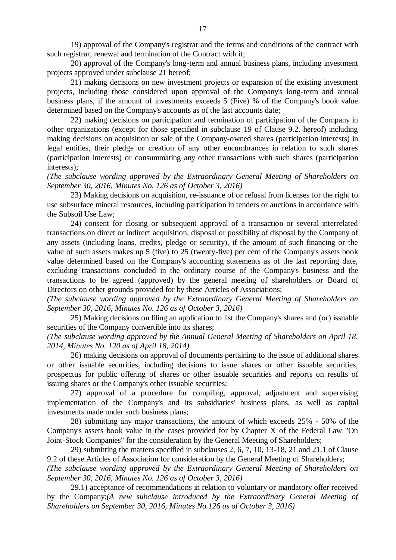19) approval of the Company's registrar and the terms and conditions of the contract with such registrar, renewal and termination of the Contract with it;

20) approval of the Company's long-term and annual business plans, including investment projects approved under subclause 21 hereof;

21) making decisions on new investment projects or expansion of the existing investment projects, including those considered upon approval of the Company's long-term and annual business plans, if the amount of investments exceeds 5 (Five) % of the Company's book value determined based on the Company's accounts as of the last accounts date;

22) making decisions on participation and termination of participation of the Company in other organizations (except for those specified in subclause 19 of Clause 9.2. hereof) including making decisions on acquisition or sale of the Company-owned shares (participation interests) in legal entities, their pledge or creation of any other encumbrances in relation to such shares (participation interests) or consummating any other transactions with such shares (participation interests);

*(The subclause wording approved by the Extraordinary General Meeting of Shareholders on September 30, 2016, Minutes No. 126 as of October 3, 2016)*

23) Making decisions on acquisition, re-issuance of or refusal from licenses for the right to use subsurface mineral resources, including participation in tenders or auctions in accordance with the Subsoil Use Law;

24) consent for closing or subsequent approval of a transaction or several interrelated transactions on direct or indirect acquisition, disposal or possibility of disposal by the Company of any assets (including loans, credits, pledge or security), if the amount of such financing or the value of such assets makes up 5 (five) to 25 (twenty-five) per cent of the Company's assets book value determined based on the Company's accounting statements as of the last reporting date, excluding transactions concluded in the ordinary course of the Company's business and the transactions to be agreed (approved) by the general meeting of shareholders or Board of Directors on other grounds provided for by these Articles of Associations;

*(The subclause wording approved by the Extraordinary General Meeting of Shareholders on September 30, 2016, Minutes No. 126 as of October 3, 2016)*

25) Making decisions on filing an application to list the Company's shares and (or) issuable securities of the Company convertible into its shares;

*(The subclause wording approved by the Annual General Meeting of Shareholders on April 18, 2014, Minutes No. 120 as of April 18, 2014)*

26) making decisions on approval of documents pertaining to the issue of additional shares or other issuable securities, including decisions to issue shares or other issuable securities, prospectus for public offering of shares or other issuable securities and reports on results of issuing shares or the Company's other issuable securities;

27) approval of a procedure for compiling, approval, adjustment and supervising implementation of the Company's and its subsidiaries' business plans, as well as capital investments made under such business plans;

28) submitting any major transactions, the amount of which exceeds 25% - 50% of the Company's assets book value in the cases provided for by Chapter X of the Federal Law "On Joint-Stock Companies" for the consideration by the General Meeting of Shareholders;

29) submitting the matters specified in subclauses 2, 6, 7, 10, 13-18, 21 and 21.1 of Clause 9.2 of these Articles of Association for consideration by the General Meeting of Shareholders;

*(The subclause wording approved by the Extraordinary General Meeting of Shareholders on September 30, 2016, Minutes No. 126 as of October 3, 2016)*

29.1) acceptance of recommendations in relation to voluntary or mandatory offer received by the Company;*(A new subclause introduced by the Extraordinary General Meeting of Shareholders on September 30, 2016, Minutes No.126 as of October 3, 2016)*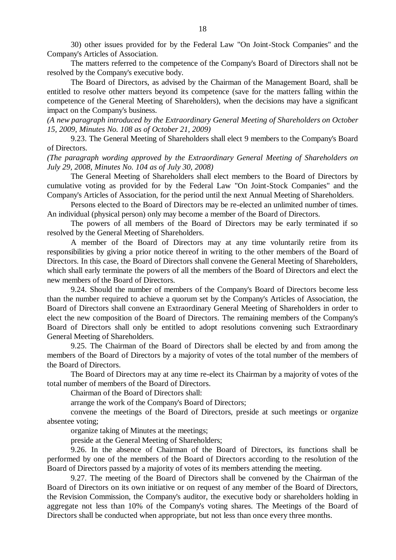30) other issues provided for by the Federal Law "On Joint-Stock Companies" and the Company's Articles of Association.

The matters referred to the competence of the Company's Board of Directors shall not be resolved by the Company's executive body.

The Board of Directors, as advised by the Chairman of the Management Board, shall be entitled to resolve other matters beyond its competence (save for the matters falling within the competence of the General Meeting of Shareholders), when the decisions may have a significant impact on the Company's business.

*(A new paragraph introduced by the Extraordinary General Meeting of Shareholders on October 15, 2009, Minutes No. 108 as of October 21, 2009)*

9.23. The General Meeting of Shareholders shall elect 9 members to the Company's Board of Directors.

*(The paragraph wording approved by the Extraordinary General Meeting of Shareholders on July 29, 2008, Minutes No. 104 as of July 30, 2008)*

The General Meeting of Shareholders shall elect members to the Board of Directors by cumulative voting as provided for by the Federal Law "On Joint-Stock Companies" and the Company's Articles of Association, for the period until the next Annual Meeting of Shareholders.

Persons elected to the Board of Directors may be re-elected an unlimited number of times. An individual (physical person) only may become a member of the Board of Directors.

The powers of all members of the Board of Directors may be early terminated if so resolved by the General Meeting of Shareholders.

A member of the Board of Directors may at any time voluntarily retire from its responsibilities by giving a prior notice thereof in writing to the other members of the Board of Directors. In this case, the Board of Directors shall convene the General Meeting of Shareholders, which shall early terminate the powers of all the members of the Board of Directors and elect the new members of the Board of Directors.

9.24. Should the number of members of the Company's Board of Directors become less than the number required to achieve a quorum set by the Company's Articles of Association, the Board of Directors shall convene an Extraordinary General Meeting of Shareholders in order to elect the new composition of the Board of Directors. The remaining members of the Company's Board of Directors shall only be entitled to adopt resolutions convening such Extraordinary General Meeting of Shareholders.

9.25. The Chairman of the Board of Directors shall be elected by and from among the members of the Board of Directors by a majority of votes of the total number of the members of the Board of Directors.

The Board of Directors may at any time re-elect its Chairman by a majority of votes of the total number of members of the Board of Directors.

Chairman of the Board of Directors shall:

arrange the work of the Company's Board of Directors;

convene the meetings of the Board of Directors, preside at such meetings or organize absentee voting;

organize taking of Minutes at the meetings;

preside at the General Meeting of Shareholders;

9.26. In the absence of Chairman of the Board of Directors, its functions shall be performed by one of the members of the Board of Directors according to the resolution of the Board of Directors passed by a majority of votes of its members attending the meeting.

9.27. The meeting of the Board of Directors shall be convened by the Chairman of the Board of Directors on its own initiative or on request of any member of the Board of Directors, the Revision Commission, the Company's auditor, the executive body or shareholders holding in aggregate not less than 10% of the Company's voting shares. The Meetings of the Board of Directors shall be conducted when appropriate, but not less than once every three months.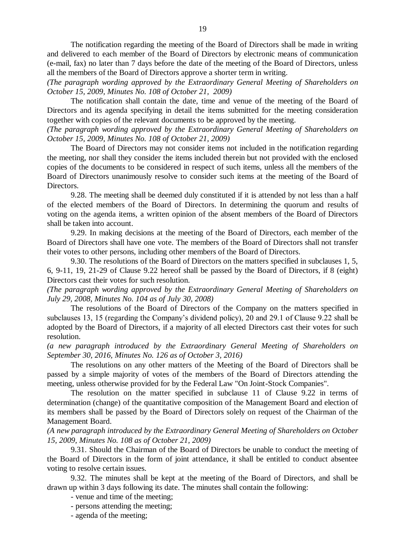The notification regarding the meeting of the Board of Directors shall be made in writing and delivered to each member of the Board of Directors by electronic means of communication (e-mail, fax) no later than 7 days before the date of the meeting of the Board of Directors, unless all the members of the Board of Directors approve a shorter term in writing.

*(The paragraph wording approved by the Extraordinary General Meeting of Shareholders on October 15, 2009, Minutes No. 108 of October 21, 2009)*

The notification shall contain the date, time and venue of the meeting of the Board of Directors and its agenda specifying in detail the items submitted for the meeting consideration together with copies of the relevant documents to be approved by the meeting.

*(The paragraph wording approved by the Extraordinary General Meeting of Shareholders on October 15, 2009, Minutes No. 108 of October 21, 2009)*

The Board of Directors may not consider items not included in the notification regarding the meeting, nor shall they consider the items included therein but not provided with the enclosed copies of the documents to be considered in respect of such items, unless all the members of the Board of Directors unanimously resolve to consider such items at the meeting of the Board of Directors.

9.28. The meeting shall be deemed duly constituted if it is attended by not less than a half of the elected members of the Board of Directors. In determining the quorum and results of voting on the agenda items, a written opinion of the absent members of the Board of Directors shall be taken into account.

9.29. In making decisions at the meeting of the Board of Directors, each member of the Board of Directors shall have one vote. The members of the Board of Directors shall not transfer their votes to other persons, including other members of the Board of Directors.

9.30. The resolutions of the Board of Directors on the matters specified in subclauses 1, 5, 6, 9-11, 19, 21-29 of Clause 9.22 hereof shall be passed by the Board of Directors, if 8 (eight) Directors cast their votes for such resolution.

*(The paragraph wording approved by the Extraordinary General Meeting of Shareholders on July 29, 2008, Minutes No. 104 as of July 30, 2008)*

The resolutions of the Board of Directors of the Company on the matters specified in subclauses 13, 15 (regarding the Company's dividend policy), 20 and 29.1 of Clause 9.22 shall be adopted by the Board of Directors, if a majority of all elected Directors cast their votes for such resolution.

*(a new paragraph introduced by the Extraordinary General Meeting of Shareholders on September 30, 2016, Minutes No. 126 as of October 3, 2016)*

The resolutions on any other matters of the Meeting of the Board of Directors shall be passed by a simple majority of votes of the members of the Board of Directors attending the meeting, unless otherwise provided for by the Federal Law "On Joint-Stock Companies".

The resolution on the matter specified in subclause 11 of Clause 9.22 in terms of determination (change) of the quantitative composition of the Management Board and election of its members shall be passed by the Board of Directors solely on request of the Chairman of the Management Board.

*(A new paragraph introduced by the Extraordinary General Meeting of Shareholders on October 15, 2009, Minutes No. 108 as of October 21, 2009)* 

9.31. Should the Chairman of the Board of Directors be unable to conduct the meeting of the Board of Directors in the form of joint attendance, it shall be entitled to conduct absentee voting to resolve certain issues.

9.32. The minutes shall be kept at the meeting of the Board of Directors, and shall be drawn up within 3 days following its date. The minutes shall contain the following:

- venue and time of the meeting;

- persons attending the meeting;

- agenda of the meeting;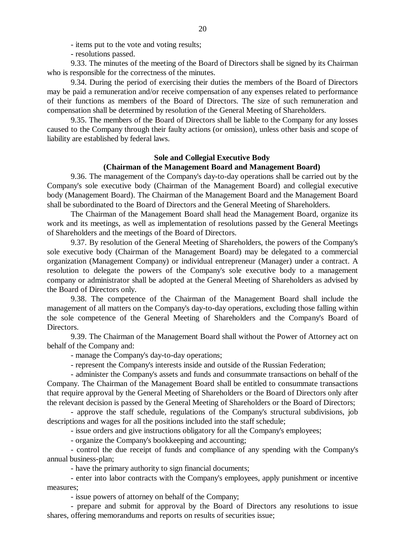- items put to the vote and voting results;

- resolutions passed.

9.33. The minutes of the meeting of the Board of Directors shall be signed by its Chairman who is responsible for the correctness of the minutes.

9.34. During the period of exercising their duties the members of the Board of Directors may be paid a remuneration and/or receive compensation of any expenses related to performance of their functions as members of the Board of Directors. The size of such remuneration and compensation shall be determined by resolution of the General Meeting of Shareholders.

9.35. The members of the Board of Directors shall be liable to the Company for any losses caused to the Company through their faulty actions (or omission), unless other basis and scope of liability are established by federal laws.

## **Sole and Collegial Executive Body (Chairman of the Management Board and Management Board)**

9.36. The management of the Company's day-to-day operations shall be carried out by the Company's sole executive body (Chairman of the Management Board) and collegial executive body (Management Board). The Chairman of the Management Board and the Management Board shall be subordinated to the Board of Directors and the General Meeting of Shareholders.

The Chairman of the Management Board shall head the Management Board, organize its work and its meetings, as well as implementation of resolutions passed by the General Meetings of Shareholders and the meetings of the Board of Directors.

9.37. By resolution of the General Meeting of Shareholders, the powers of the Company's sole executive body (Chairman of the Management Board) may be delegated to a commercial organization (Management Company) or individual entrepreneur (Manager) under a contract. A resolution to delegate the powers of the Company's sole executive body to a management company or administrator shall be adopted at the General Meeting of Shareholders as advised by the Board of Directors only.

9.38. The competence of the Chairman of the Management Board shall include the management of all matters on the Company's day-to-day operations, excluding those falling within the sole competence of the General Meeting of Shareholders and the Company's Board of Directors.

9.39. The Chairman of the Management Board shall without the Power of Attorney act on behalf of the Company and:

- manage the Company's day-to-day operations;

- represent the Company's interests inside and outside of the Russian Federation;

- administer the Company's assets and funds and consummate transactions on behalf of the Company. The Chairman of the Management Board shall be entitled to consummate transactions that require approval by the General Meeting of Shareholders or the Board of Directors only after the relevant decision is passed by the General Meeting of Shareholders or the Board of Directors;

- approve the staff schedule, regulations of the Company's structural subdivisions, job descriptions and wages for all the positions included into the staff schedule;

- issue orders and give instructions obligatory for all the Company's employees;

- organize the Company's bookkeeping and accounting;

- control the due receipt of funds and compliance of any spending with the Company's annual business-plan;

- have the primary authority to sign financial documents;

- enter into labor contracts with the Company's employees, apply punishment or incentive measures;

- issue powers of attorney on behalf of the Company;

- prepare and submit for approval by the Board of Directors any resolutions to issue shares, offering memorandums and reports on results of securities issue;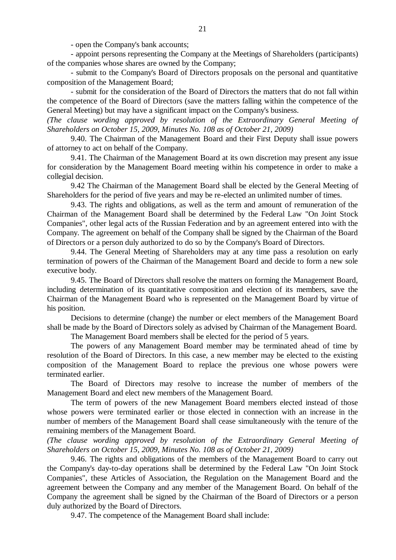- open the Company's bank accounts;

- appoint persons representing the Company at the Meetings of Shareholders (participants) of the companies whose shares are owned by the Company;

- submit to the Company's Board of Directors proposals on the personal and quantitative composition of the Management Board;

- submit for the consideration of the Board of Directors the matters that do not fall within the competence of the Board of Directors (save the matters falling within the competence of the General Meeting) but may have a significant impact on the Company's business.

*(The clause wording approved by resolution of the Extraordinary General Meeting of Shareholders on October 15, 2009, Minutes No. 108 as of October 21, 2009)*

9.40. The Chairman of the Management Board and their First Deputy shall issue powers of attorney to act on behalf of the Company.

9.41. The Chairman of the Management Board at its own discretion may present any issue for consideration by the Management Board meeting within his competence in order to make a collegial decision.

9.42 The Chairman of the Management Board shall be elected by the General Meeting of Shareholders for the period of five years and may be re-elected an unlimited number of times.

9.43. The rights and obligations, as well as the term and amount of remuneration of the Chairman of the Management Board shall be determined by the Federal Law "On Joint Stock Companies", other legal acts of the Russian Federation and by an agreement entered into with the Company. The agreement on behalf of the Company shall be signed by the Chairman of the Board of Directors or a person duly authorized to do so by the Company's Board of Directors.

9.44. The General Meeting of Shareholders may at any time pass a resolution on early termination of powers of the Chairman of the Management Board and decide to form a new sole executive body.

9.45. The Board of Directors shall resolve the matters on forming the Management Board, including determination of its quantitative composition and election of its members, save the Chairman of the Management Board who is represented on the Management Board by virtue of his position.

Decisions to determine (change) the number or elect members of the Management Board shall be made by the Board of Directors solely as advised by Chairman of the Management Board.

The Management Board members shall be elected for the period of 5 years.

The powers of any Management Board member may be terminated ahead of time by resolution of the Board of Directors. In this case, a new member may be elected to the existing composition of the Management Board to replace the previous one whose powers were terminated earlier.

The Board of Directors may resolve to increase the number of members of the Management Board and elect new members of the Management Board.

The term of powers of the new Management Board members elected instead of those whose powers were terminated earlier or those elected in connection with an increase in the number of members of the Management Board shall cease simultaneously with the tenure of the remaining members of the Management Board.

*(The clause wording approved by resolution of the Extraordinary General Meeting of Shareholders on October 15, 2009, Minutes No. 108 as of October 21, 2009)*

9.46. The rights and obligations of the members of the Management Board to carry out the Company's day-to-day operations shall be determined by the Federal Law "On Joint Stock Companies", these Articles of Association, the Regulation on the Management Board and the agreement between the Company and any member of the Management Board. On behalf of the Company the agreement shall be signed by the Chairman of the Board of Directors or a person duly authorized by the Board of Directors.

9.47. The competence of the Management Board shall include: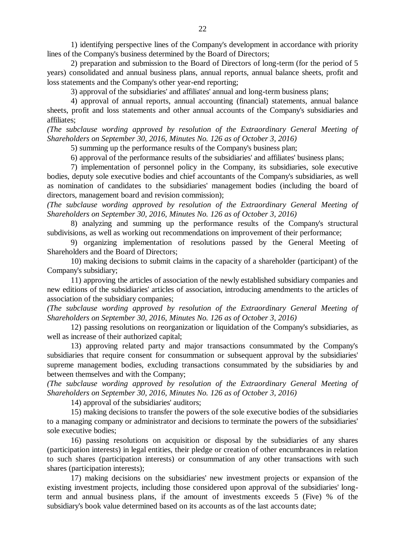1) identifying perspective lines of the Company's development in accordance with priority lines of the Company's business determined by the Board of Directors;

2) preparation and submission to the Board of Directors of long-term (for the period of 5 years) consolidated and annual business plans, annual reports, annual balance sheets, profit and loss statements and the Company's other year-end reporting;

3) approval of the subsidiaries' and affiliates' annual and long-term business plans;

4) approval of annual reports, annual accounting (financial) statements, annual balance sheets, profit and loss statements and other annual accounts of the Company's subsidiaries and affiliates;

*(The subclause wording approved by resolution of the Extraordinary General Meeting of Shareholders on September 30, 2016, Minutes No. 126 as of October 3, 2016)*

5) summing up the performance results of the Company's business plan;

6) approval of the performance results of the subsidiaries' and affiliates' business plans;

7) implementation of personnel policy in the Company, its subsidiaries, sole executive bodies, deputy sole executive bodies and chief accountants of the Company's subsidiaries, as well as nomination of candidates to the subsidiaries' management bodies (including the board of directors, management board and revision commission);

*(The subclause wording approved by resolution of the Extraordinary General Meeting of Shareholders on September 30, 2016, Minutes No. 126 as of October 3, 2016)*

8) analyzing and summing up the performance results of the Company's structural subdivisions, as well as working out recommendations on improvement of their performance;

9) organizing implementation of resolutions passed by the General Meeting of Shareholders and the Board of Directors;

10) making decisions to submit claims in the capacity of a shareholder (participant) of the Company's subsidiary;

11) approving the articles of association of the newly established subsidiary companies and new editions of the subsidiaries' articles of association, introducing amendments to the articles of association of the subsidiary companies;

*(The subclause wording approved by resolution of the Extraordinary General Meeting of Shareholders on September 30, 2016, Minutes No. 126 as of October 3, 2016)*

12) passing resolutions on reorganization or liquidation of the Company's subsidiaries, as well as increase of their authorized capital;

13) approving related party and major transactions consummated by the Company's subsidiaries that require consent for consummation or subsequent approval by the subsidiaries' supreme management bodies, excluding transactions consummated by the subsidiaries by and between themselves and with the Company;

*(The subclause wording approved by resolution of the Extraordinary General Meeting of Shareholders on September 30, 2016, Minutes No. 126 as of October 3, 2016)*

14) approval of the subsidiaries' auditors;

15) making decisions to transfer the powers of the sole executive bodies of the subsidiaries to a managing company or administrator and decisions to terminate the powers of the subsidiaries' sole executive bodies;

16) passing resolutions on acquisition or disposal by the subsidiaries of any shares (participation interests) in legal entities, their pledge or creation of other encumbrances in relation to such shares (participation interests) or consummation of any other transactions with such shares (participation interests);

17) making decisions on the subsidiaries' new investment projects or expansion of the existing investment projects, including those considered upon approval of the subsidiaries' longterm and annual business plans, if the amount of investments exceeds 5 (Five) % of the subsidiary's book value determined based on its accounts as of the last accounts date;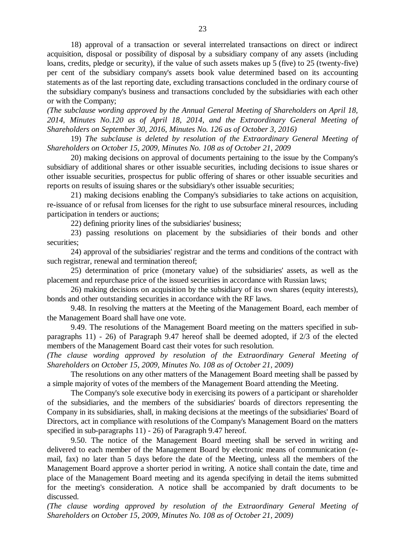18) approval of a transaction or several interrelated transactions on direct or indirect acquisition, disposal or possibility of disposal by a subsidiary company of any assets (including loans, credits, pledge or security), if the value of such assets makes up 5 (five) to 25 (twenty-five) per cent of the subsidiary company's assets book value determined based on its accounting statements as of the last reporting date, excluding transactions concluded in the ordinary course of the subsidiary company's business and transactions concluded by the subsidiaries with each other or with the Company;

*(The subclause wording approved by the Annual General Meeting of Shareholders on April 18, 2014, Minutes No.120 as of April 18, 2014, and the Extraordinary General Meeting of Shareholders on September 30, 2016, Minutes No. 126 as of October 3, 2016)*

19) *The subclause is deleted by resolution of the Extraordinary General Meeting of Shareholders on October 15, 2009, Minutes No. 108 as of October 21, 2009*

20) making decisions on approval of documents pertaining to the issue by the Company's subsidiary of additional shares or other issuable securities, including decisions to issue shares or other issuable securities, prospectus for public offering of shares or other issuable securities and reports on results of issuing shares or the subsidiary's other issuable securities;

21) making decisions enabling the Company's subsidiaries to take actions on acquisition, re-issuance of or refusal from licenses for the right to use subsurface mineral resources, including participation in tenders or auctions;

22) defining priority lines of the subsidiaries' business;

23) passing resolutions on placement by the subsidiaries of their bonds and other securities;

24) approval of the subsidiaries' registrar and the terms and conditions of the contract with such registrar, renewal and termination thereof;

25) determination of price (monetary value) of the subsidiaries' assets, as well as the placement and repurchase price of the issued securities in accordance with Russian laws;

26) making decisions on acquisition by the subsidiary of its own shares (equity interests), bonds and other outstanding securities in accordance with the RF laws.

9.48. In resolving the matters at the Meeting of the Management Board, each member of the Management Board shall have one vote.

9.49. The resolutions of the Management Board meeting on the matters specified in subparagraphs 11) - 26) of Paragraph 9.47 hereof shall be deemed adopted, if 2/3 of the elected members of the Management Board cast their votes for such resolution.

*(The clause wording approved by resolution of the Extraordinary General Meeting of Shareholders on October 15, 2009, Minutes No. 108 as of October 21, 2009)*

The resolutions on any other matters of the Management Board meeting shall be passed by a simple majority of votes of the members of the Management Board attending the Meeting.

The Company's sole executive body in exercising its powers of a participant or shareholder of the subsidiaries, and the members of the subsidiaries' boards of directors representing the Company in its subsidiaries, shall, in making decisions at the meetings of the subsidiaries' Board of Directors, act in compliance with resolutions of the Company's Management Board on the matters specified in sub-paragraphs 11) - 26) of Paragraph 9.47 hereof.

9.50. The notice of the Management Board meeting shall be served in writing and delivered to each member of the Management Board by electronic means of communication (email, fax) no later than 5 days before the date of the Meeting, unless all the members of the Management Board approve a shorter period in writing. A notice shall contain the date, time and place of the Management Board meeting and its agenda specifying in detail the items submitted for the meeting's consideration. A notice shall be accompanied by draft documents to be discussed*.*

*(The clause wording approved by resolution of the Extraordinary General Meeting of Shareholders on October 15, 2009, Minutes No. 108 as of October 21, 2009)*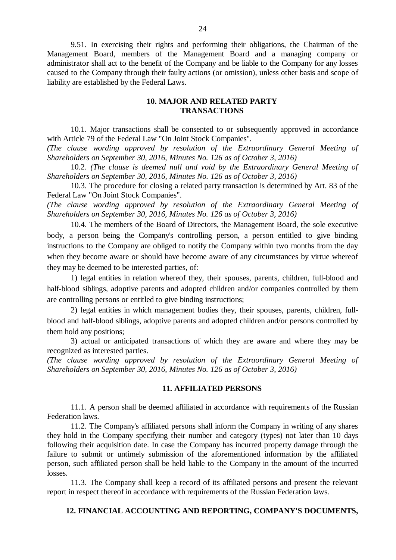9.51. In exercising their rights and performing their obligations, the Chairman of the Management Board, members of the Management Board and a managing company or administrator shall act to the benefit of the Company and be liable to the Company for any losses caused to the Company through their faulty actions (or omission), unless other basis and scope of liability are established by the Federal Laws.

# **10. MAJOR AND RELATED PARTY TRANSACTIONS**

10.1. Major transactions shall be consented to or subsequently approved in accordance with Article 79 of the Federal Law "On Joint Stock Companies".

*(The clause wording approved by resolution of the Extraordinary General Meeting of Shareholders on September 30, 2016, Minutes No. 126 as of October 3, 2016)*

10.2. *(The clause is deemed null and void by the Extraordinary General Meeting of Shareholders on September 30, 2016, Minutes No. 126 as of October 3, 2016)*

10.3. The procedure for closing a related party transaction is determined by Art. 83 of the Federal Law "On Joint Stock Companies".

*(The clause wording approved by resolution of the Extraordinary General Meeting of Shareholders on September 30, 2016, Minutes No. 126 as of October 3, 2016)*

10.4. The members of the Board of Directors, the Management Board, the sole executive body, a person being the Company's controlling person, a person entitled to give binding instructions to the Company are obliged to notify the Company within two months from the day when they become aware or should have become aware of any circumstances by virtue whereof they may be deemed to be interested parties, of:

1) legal entities in relation whereof they, their spouses, parents, children, full-blood and half-blood siblings, adoptive parents and adopted children and/or companies controlled by them are controlling persons or entitled to give binding instructions;

2) legal entities in which management bodies they, their spouses, parents, children, fullblood and half-blood siblings, adoptive parents and adopted children and/or persons controlled by them hold any positions;

3) actual or anticipated transactions of which they are aware and where they may be recognized as interested parties.

*(The clause wording approved by resolution of the Extraordinary General Meeting of Shareholders on September 30, 2016, Minutes No. 126 as of October 3, 2016)*

#### **11. AFFILIATED PERSONS**

11.1. A person shall be deemed affiliated in accordance with requirements of the Russian Federation laws.

11.2. The Company's affiliated persons shall inform the Company in writing of any shares they hold in the Company specifying their number and category (types) not later than 10 days following their acquisition date. In case the Company has incurred property damage through the failure to submit or untimely submission of the aforementioned information by the affiliated person, such affiliated person shall be held liable to the Company in the amount of the incurred losses.

11.3. The Company shall keep a record of its affiliated persons and present the relevant report in respect thereof in accordance with requirements of the Russian Federation laws.

## **12. FINANCIAL ACCOUNTING AND REPORTING, COMPANY'S DOCUMENTS,**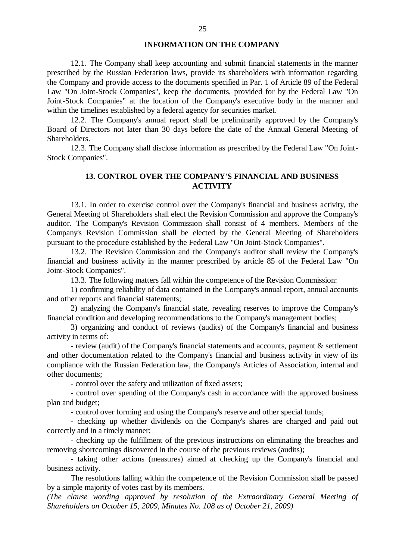#### **INFORMATION ON THE COMPANY**

12.1. The Company shall keep accounting and submit financial statements in the manner prescribed by the Russian Federation laws, provide its shareholders with information regarding the Company and provide access to the documents specified in Par. 1 of Article 89 of the Federal Law "On Joint-Stock Companies", keep the documents, provided for by the Federal Law "On Joint-Stock Companies" at the location of the Company's executive body in the manner and within the timelines established by a federal agency for securities market.

12.2. The Company's annual report shall be preliminarily approved by the Company's Board of Directors not later than 30 days before the date of the Annual General Meeting of Shareholders.

12.3. The Company shall disclose information as prescribed by the Federal Law "On Joint-Stock Companies".

# **13. CONTROL OVER THE COMPANY'S FINANCIAL AND BUSINESS ACTIVITY**

13.1. In order to exercise control over the Company's financial and business activity, the General Meeting of Shareholders shall elect the Revision Commission and approve the Company's auditor. The Company's Revision Commission shall consist of 4 members. Members of the Company's Revision Commission shall be elected by the General Meeting of Shareholders pursuant to the procedure established by the Federal Law "On Joint-Stock Companies".

13.2. The Revision Commission and the Company's auditor shall review the Company's financial and business activity in the manner prescribed by article 85 of the Federal Law "On Joint-Stock Companies".

13.3. The following matters fall within the competence of the Revision Commission:

1) confirming reliability of data contained in the Company's annual report, annual accounts and other reports and financial statements;

2) analyzing the Company's financial state, revealing reserves to improve the Company's financial condition and developing recommendations to the Company's management bodies;

3) organizing and conduct of reviews (audits) of the Company's financial and business activity in terms of:

- review (audit) of the Company's financial statements and accounts, payment & settlement and other documentation related to the Company's financial and business activity in view of its compliance with the Russian Federation law, the Company's Articles of Association, internal and other documents;

- control over the safety and utilization of fixed assets;

- control over spending of the Company's cash in accordance with the approved business plan and budget;

- control over forming and using the Company's reserve and other special funds;

- checking up whether dividends on the Company's shares are charged and paid out correctly and in a timely manner;

- checking up the fulfillment of the previous instructions on eliminating the breaches and removing shortcomings discovered in the course of the previous reviews (audits);

- taking other actions (measures) aimed at checking up the Company's financial and business activity.

The resolutions falling within the competence of the Revision Commission shall be passed by a simple majority of votes cast by its members.

*(The clause wording approved by resolution of the Extraordinary General Meeting of Shareholders on October 15, 2009, Minutes No. 108 as of October 21, 2009)*